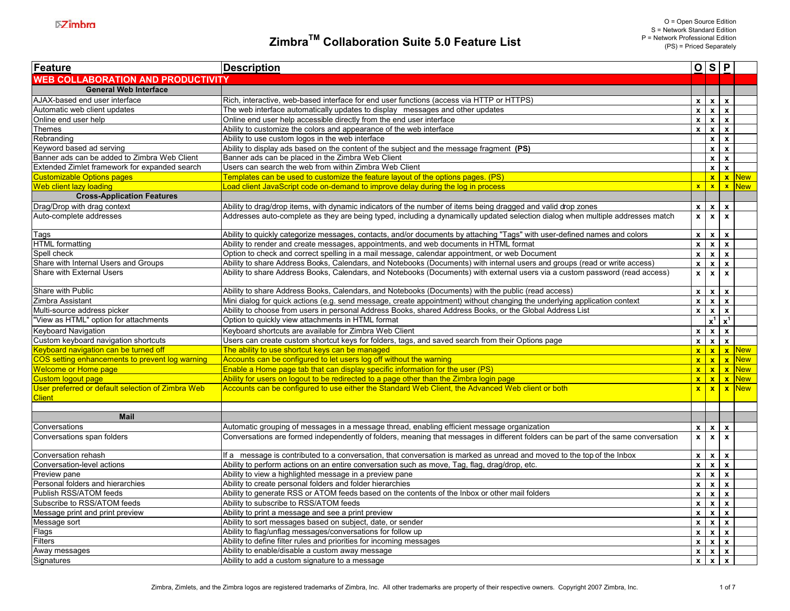| Feature                                           | <b>Description</b>                                                                                                                 |                           |                  | O S P                         |                        |
|---------------------------------------------------|------------------------------------------------------------------------------------------------------------------------------------|---------------------------|------------------|-------------------------------|------------------------|
| <b>WEB COLLABORATION AND PRODUCTIVITY</b>         |                                                                                                                                    |                           |                  |                               |                        |
| <b>General Web Interface</b>                      |                                                                                                                                    |                           |                  |                               |                        |
| AJAX-based end user interface                     | Rich, interactive, web-based interface for end user functions (access via HTTP or HTTPS)                                           | $\mathbf{x}$              |                  | $x \mid x$                    |                        |
| Automatic web client updates                      | The web interface automatically updates to display messages and other updates                                                      | $\overline{\mathbf{x}}$   |                  | $x \overline{x}$              |                        |
| Online end user help                              | Online end user help accessible directly from the end user interface                                                               | $\mathbf{x}$              |                  | $x \mid x$                    |                        |
| Themes                                            | Ability to customize the colors and appearance of the web interface                                                                | $\mathbf{x}$              |                  | $x \mid x$                    |                        |
| Rebranding                                        | Ability to use custom logos in the web interface                                                                                   |                           | $\mathbf{x}$     | $\mathbf{x}$                  |                        |
| Keyword based ad serving                          | Ability to display ads based on the content of the subject and the message fragment (PS)                                           |                           |                  | $x \mid x$                    |                        |
| Banner ads can be added to Zimbra Web Client      | Banner ads can be placed in the Zimbra Web Client                                                                                  |                           |                  | $x \mid x$                    |                        |
| Extended Zimlet framework for expanded search     | Users can search the web from within Zimbra Web Client                                                                             |                           |                  | $x \mid x$                    |                        |
| <b>Customizable Options pages</b>                 | Templates can be used to customize the feature layout of the options pages. (PS)                                                   |                           |                  |                               | $x \,   \, x \,  $ New |
| Web client lazy loading                           | Load client JavaScript code on-demand to improve delay during the log in process                                                   | $\mathbf{x}$              |                  | x x                           | New <sup>1</sup>       |
| <b>Cross-Application Features</b>                 |                                                                                                                                    |                           |                  |                               |                        |
| Drag/Drop with drag context                       | Ability to drag/drop items, with dynamic indicators of the number of items being dragged and valid drop zones                      | $\mathbf{x}$              | $\mathbf{x}$     | $\mathbf{x}$                  |                        |
| Auto-complete addresses                           | Addresses auto-complete as they are being typed, including a dynamically updated selection dialog when multiple addresses match    | $\mathbf{x}$              | $\mathbf{x}$     | $\mathbf{x}$                  |                        |
|                                                   |                                                                                                                                    |                           |                  |                               |                        |
| Tags                                              | Ability to quickly categorize messages, contacts, and/or documents by attaching "Tags" with user-defined names and colors          | $\mathbf{x}$              |                  | $x \mid x$                    |                        |
| <b>HTML</b> formatting                            | Ability to render and create messages, appointments, and web documents in HTML format                                              | $\pmb{\mathsf{x}}$        |                  | $x \mid x$                    |                        |
| Spell check                                       | Option to check and correct spelling in a mail message, calendar appointment, or web Document                                      | $\mathbf{x}$              |                  | $x \mid x$                    |                        |
| Share with Internal Users and Groups              | Ability to share Address Books, Calendars, and Notebooks (Documents) with internal users and groups (read or write access)         | $\mathbf{x}$              |                  | $x \mid x$                    |                        |
| Share with External Users                         | Ability to share Address Books, Calendars, and Notebooks (Documents) with external users via a custom password (read access)       | $\overline{\mathbf{x}}$   | $\mathbf{x}$     | $\mathbf{x}$                  |                        |
|                                                   |                                                                                                                                    |                           |                  |                               |                        |
| Share with Public                                 | Ability to share Address Books, Calendars, and Notebooks (Documents) with the public (read access)                                 | $\mathbf{x}$              |                  | $x \mid x$                    |                        |
| Zimbra Assistant                                  | Mini dialog for quick actions (e.g. send message, create appointment) without changing the underlying application context          | $\pmb{\mathsf{x}}$        | $\mathbf{x}$     | $\mathbf{x}$                  |                        |
| Multi-source address picker                       | Ability to choose from users in personal Address Books, shared Address Books, or the Global Address List                           | $\pmb{\mathsf{x}}$        |                  | $x \mid x$                    |                        |
| "View as HTML" option for attachments             | Option to quickly view attachments in HTML format                                                                                  |                           |                  | $\mathbf{x}^1$ $\mathbf{x}^1$ |                        |
| Keyboard Navigation                               | Keyboard shortcuts are available for Zimbra Web Client                                                                             | $\mathbf{x}$              |                  | $x \mid x$                    |                        |
| Custom keyboard navigation shortcuts              | Users can create custom shortcut keys for folders, tags, and saved search from their Options page                                  | $\mathbf{x}$              |                  | $x \mid x$                    |                        |
| Keyboard navigation can be turned off             | The ability to use shortcut keys can be managed                                                                                    | $\mathbf{x}$              |                  |                               | $x \mid x \mid$ New    |
| COS setting enhancements to prevent log warning   | Accounts can be configured to let users log off without the warning                                                                | $\mathbf{x}$              |                  |                               | $x \mid x \mid$ New    |
| <b>Welcome or Home page</b>                       | Enable a Home page tab that can display specific information for the user (PS)                                                     | $\mathbf{x}$              |                  |                               | $x \mid x \mid$ New    |
| <b>Custom logout page</b>                         | Ability for users on logout to be redirected to a page other than the Zimbra login page                                            | $\mathbf{x}$              |                  | x x                           | <b>New</b>             |
| User preferred or default selection of Zimbra Web | Accounts can be configured to use either the Standard Web Client, the Advanced Web client or both                                  | $\mathbf{x}$              |                  |                               | $x \mid x \mid$ New    |
| <b>Client</b>                                     |                                                                                                                                    |                           |                  |                               |                        |
|                                                   |                                                                                                                                    |                           |                  |                               |                        |
| <b>Mail</b>                                       |                                                                                                                                    |                           |                  |                               |                        |
| Conversations                                     | Automatic grouping of messages in a message thread, enabling efficient message organization                                        | $\mathbf{x}$              |                  | $x \mid x$                    |                        |
| Conversations span folders                        | Conversations are formed independently of folders, meaning that messages in different folders can be part of the same conversation | $\mathbf{x}$              | $\mathbf{x}$     | $\mathbf{x}$                  |                        |
|                                                   |                                                                                                                                    |                           |                  |                               |                        |
| Conversation rehash                               | If a message is contributed to a conversation, that conversation is marked as unread and moved to the top of the Inbox             | $\pmb{\mathsf{x}}$        |                  | $x \mid x$                    |                        |
| Conversation-level actions                        | Ability to perform actions on an entire conversation such as move, Tag, flag, drag/drop, etc.                                      | $\mathbf{x}$              | $\mathbf{x}$     | $\mathbf{x}$                  |                        |
| Preview pane                                      | Ability to view a highlighted message in a preview pane                                                                            | $\mathbf{x}$              |                  | $x \mid x$                    |                        |
| Personal folders and hierarchies                  | Ability to create personal folders and folder hierarchies                                                                          | $\overline{\mathbf{x}}$   |                  | $x \mid x$                    |                        |
| Publish RSS/ATOM feeds                            | Ability to generate RSS or ATOM feeds based on the contents of the Inbox or other mail folders                                     | $\pmb{\mathsf{x}}$        | $\boldsymbol{x}$ | $\mathbf{x}$                  |                        |
| Subscribe to RSS/ATOM feeds                       | Ability to subscribe to RSS/ATOM feeds                                                                                             | $\mathbf{x}$              |                  | $x \mid x$                    |                        |
| Message print and print preview                   | Ability to print a message and see a print preview                                                                                 | $\boldsymbol{\mathsf{x}}$ | $\mathbf{x}$     | $\mathbf{x}$                  |                        |
| Message sort                                      | Ability to sort messages based on subject, date, or sender                                                                         | $\pmb{\mathsf{x}}$        |                  | $x \mid x$                    |                        |
| Flags                                             | Ability to flag/unflag messages/conversations for follow up                                                                        | $\mathbf{x}$              |                  | $x \mid x$                    |                        |
| Filters                                           | Ability to define filter rules and priorities for incoming messages                                                                | $\pmb{\mathsf{x}}$        |                  | $x \mid x$                    |                        |
| Away messages                                     | Ability to enable/disable a custom away message                                                                                    | $\mathbf{x}$              |                  | $x \mid x$                    |                        |
| Signatures                                        | Ability to add a custom signature to a message                                                                                     | $\mathbf{x}$              | $\mathbf{x}$     | $\mathbf{x}$                  |                        |
|                                                   |                                                                                                                                    |                           |                  |                               |                        |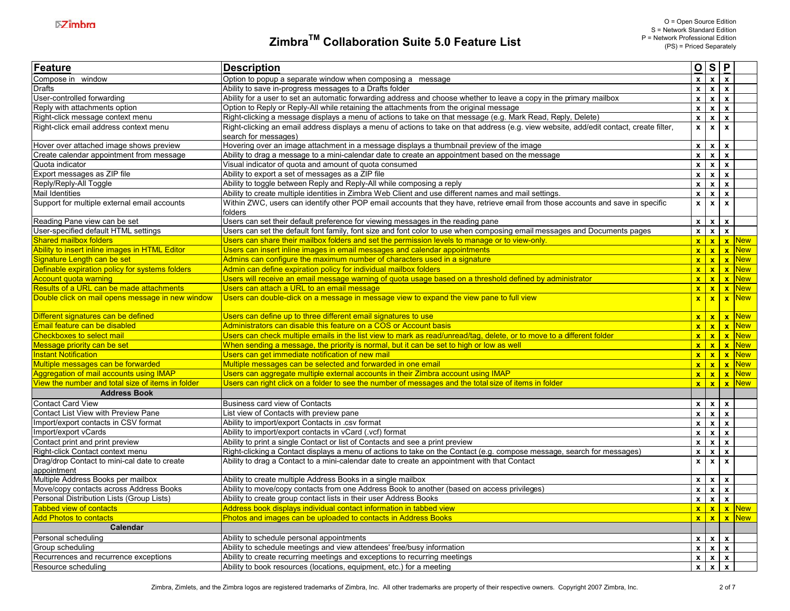| Feature                                           | <b>Description</b>                                                                                                                                              |                           | $Q$ S                     | $\mathsf{P}$              |              |
|---------------------------------------------------|-----------------------------------------------------------------------------------------------------------------------------------------------------------------|---------------------------|---------------------------|---------------------------|--------------|
| Compose in window                                 | Option to popup a separate window when composing a message                                                                                                      | $\pmb{\mathsf{x}}$        | $\overline{\mathbf{x}}$   | $\mathbf{x}$              |              |
| Drafts                                            | Ability to save in-progress messages to a Drafts folder                                                                                                         | $\mathbf{x}$              | $\mathbf{x}$              | $\mathbf{x}$              |              |
| User-controlled forwarding                        | Ability for a user to set an automatic forwarding address and choose whether to leave a copy in the primary mailbox                                             | $\pmb{\mathsf{x}}$        | $\mathbf{x}$              | $\mathbf{x}$              |              |
| Reply with attachments option                     | Option to Reply or Reply-All while retaining the attachments from the original message                                                                          | $\pmb{\mathsf{x}}$        | $\overline{\mathbf{x}}$   | $\mathbf{x}$              |              |
| Right-click message context menu                  | Right-clicking a message displays a menu of actions to take on that message (e.g. Mark Read, Reply, Delete)                                                     | $\pmb{\mathsf{x}}$        | $\boldsymbol{\mathsf{x}}$ | $\mathbf{x}$              |              |
| Right-click email address context menu            | Right-clicking an email address displays a menu of actions to take on that address (e.g. view website, add/edit contact, create filter,<br>search for messages) | $\pmb{\mathsf{x}}$        | $\pmb{\mathsf{x}}$        | $\pmb{\chi}$              |              |
| Hover over attached image shows preview           | Hovering over an image attachment in a message displays a thumbnail preview of the image                                                                        | $\pmb{\mathsf{x}}$        | $\mathbf{x}$              | $\mathbf{x}$              |              |
| Create calendar appointment from message          | Ability to drag a message to a mini-calendar date to create an appointment based on the message                                                                 | $\pmb{\mathsf{x}}$        | $\mathbf{x}$              | $\mathbf{x}$              |              |
| Quota indicator                                   | Visual indicator of quota and amount of quota consumed                                                                                                          | $\boldsymbol{\mathsf{x}}$ | $\overline{\mathbf{x}}$   | $\mathbf{x}$              |              |
| Export messages as ZIP file                       | Ability to export a set of messages as a ZIP file                                                                                                               | $\boldsymbol{\mathsf{x}}$ | $\pmb{\mathsf{x}}$        | $\pmb{\chi}$              |              |
| Reply/Reply-All Toggle                            | Ability to toggle between Reply and Reply-All while composing a reply                                                                                           | $\boldsymbol{\mathsf{x}}$ | $\pmb{\chi}$              | $\pmb{\chi}$              |              |
| Mail Identities                                   | Ability to create multiple identities in Zimbra Web Client and use different names and mail settings.                                                           | $\pmb{\mathsf{x}}$        | $\mathbf{x}$              | $\mathbf{x}$              |              |
| Support for multiple external email accounts      | Within ZWC, users can identify other POP email accounts that they have, retrieve email from those accounts and save in specific<br>folders                      | $\pmb{\mathsf{x}}$        | $\pmb{\chi}$              | $\pmb{\chi}$              |              |
| Reading Pane view can be set                      | Users can set their default preference for viewing messages in the reading pane                                                                                 | $\mathbf{x}$              | $\boldsymbol{\mathsf{x}}$ | $\boldsymbol{\mathsf{x}}$ |              |
| User-specified default HTML settings              | Users can set the default font family, font size and font color to use when composing email messages and Documents pages                                        | $\mathbf{x}$              | $\mathbf{x}$              | $\mathbf{x}$              |              |
| <b>Shared mailbox folders</b>                     | Users can share their mailbox folders and set the permission levels to manage or to view-only                                                                   | $\mathbf{x}$              | $\mathbf{x}$              |                           | $x$ New      |
| Ability to insert inline images in HTML Editor    | Users can insert inline images in email messages and calendar appointments                                                                                      | $\mathbf{x}$              | $\mathbf{x}$              |                           | $x$ New      |
| Signature Length can be set                       | Admins can configure the maximum number of characters used in a signature                                                                                       | $\mathbf{x}$              | $\mathbf{x}$              |                           | $x$ New      |
| Definable expiration policy for systems folders   | Admin can define expiration policy for individual mailbox folders                                                                                               | $\mathbf{x}$              | $\mathbf{x}$              |                           | $x$ New      |
| Account quota warning                             | Users will receive an email message warning of quota usage based on a threshold defined by administrator                                                        | $\mathbf{x}$              | $\mathbf{x}$              |                           | $x$ New      |
| Results of a URL can be made attachments          | Users can attach a URL to an email message                                                                                                                      | $\mathbf{x}$              | $\mathbf{x}$              |                           | x New        |
| Double click on mail opens message in new window  | Users can double-click on a message in message view to expand the view pane to full view                                                                        | $\mathbf{x}$              | $\mathbf{x}$              | $\mathbf{x}$              | <b>New</b>   |
| Different signatures can be defined               | Users can define up to three different email signatures to use                                                                                                  | $\mathbf{x}$              | $\mathbf{x}$              |                           | <b>x</b> New |
| Email feature can be disabled                     | Administrators can disable this feature on a COS or Account basis                                                                                               | $\mathbf{x}$              | $\mathbf{x}$              |                           | $x$ New      |
| <b>Checkboxes to select mail</b>                  | Users can check multiple emails in the list view to mark as read/unread/tag, delete, or to move to a different folder                                           | $\mathbf{x}$              | $\mathbf{x}$              |                           | $x$ New      |
| Message priority can be set                       | When sending a message, the priority is normal, but it can be set to high or low as well                                                                        | $\mathbf{x}$              | $\mathbf{x}$              |                           | $x$ New      |
| <b>Instant Notification</b>                       | Users can get immediate notification of new mail                                                                                                                | $\mathbf{x}$              | $\mathbf{x}$              |                           | $x$ New      |
| Multiple messages can be forwarded                | Multiple messages can be selected and forwarded in one email                                                                                                    | $\mathbf{x}$              | $\mathbf{x}$              |                           | <b>x</b> New |
| Aggregation of mail accounts using IMAP           | Users can aggregate multiple external accounts in their Zimbra account using IMAP                                                                               | $\pmb{\mathsf{x}}$        | $\mathbf{x}$              |                           | $x$ New      |
| View the number and total size of items in folder | Users can right click on a folder to see the number of messages and the total size of items in folder                                                           | $\mathbf{x}$              | $\hat{\mathbf{x}}$        |                           | $x$ New      |
| <b>Address Book</b>                               |                                                                                                                                                                 |                           |                           |                           |              |
| <b>Contact Card View</b>                          | Business card view of Contacts                                                                                                                                  | $\mathbf x$               | $\pmb{\chi}$              | $\mathbf{x}$              |              |
| Contact List View with Preview Pane               | List view of Contacts with preview pane                                                                                                                         | $\boldsymbol{\mathsf{x}}$ | $\pmb{\chi}$              | $\mathbf{x}$              |              |
| Import/export contacts in CSV format              | Ability to import/export Contacts in .csv format                                                                                                                | $\pmb{\mathsf{x}}$        | $\mathbf{x}$              | $\mathbf{x}$              |              |
| Import/export vCards                              | Ability to import/export contacts in vCard (.vcf) format                                                                                                        | $\mathbf{x}$              | $\mathbf{x}$              | $\mathbf{x}$              |              |
| Contact print and print preview                   | Ability to print a single Contact or list of Contacts and see a print preview                                                                                   | $\pmb{\mathsf{x}}$        | $\pmb{\mathsf{x}}$        | $\mathbf{x}$              |              |
| Right-click Contact context menu                  | Right-clicking a Contact displays a menu of actions to take on the Contact (e.g. compose message, search for messages)                                          | $\boldsymbol{\mathsf{x}}$ | $\pmb{\mathsf{x}}$        | $\mathbf{x}$              |              |
| Drag/drop Contact to mini-cal date to create      | Ability to drag a Contact to a mini-calendar date to create an appointment with that Contact                                                                    | $\pmb{\mathsf{x}}$        | $\overline{\mathbf{x}}$   | $\mathbf{x}$              |              |
| appointment                                       |                                                                                                                                                                 |                           |                           |                           |              |
| Multiple Address Books per mailbox                | Ability to create multiple Address Books in a single mailbox                                                                                                    | $\mathbf{x}$              | $\boldsymbol{x}$          | $\mathbf{x}$              |              |
| Move/copy contacts across Address Books           | Ability to move/copy contacts from one Address Book to another (based on access privileges)                                                                     | $\pmb{\mathsf{x}}$        | $\boldsymbol{\mathsf{x}}$ | $\mathbf{x}$              |              |
| Personal Distribution Lists (Group Lists)         | Ability to create group contact lists in their user Address Books                                                                                               | $\mathbf{x}$              | $\pmb{\chi}$              | $\mathbf{x}$              |              |
| <b>Tabbed view of contacts</b>                    | Address book displays individual contact information in tabbed view                                                                                             | $\mathbf{x}$              | $\mathbf{x}$              |                           | <b>x</b> New |
| <b>Add Photos to contacts</b>                     | Photos and images can be uploaded to contacts in Address Books                                                                                                  | $\mathbf{x}$              | $\mathbf{x}$              |                           | $x$ New      |
| Calendar                                          |                                                                                                                                                                 |                           |                           |                           |              |
| Personal scheduling                               | Ability to schedule personal appointments                                                                                                                       | $\mathbf x$               | $\boldsymbol{x}$          | $\boldsymbol{\mathsf{x}}$ |              |
| Group scheduling                                  | Ability to schedule meetings and view attendees' free/busy information                                                                                          | $\mathbf{x}$              | $\mathbf{x}$              | $\mathbf{x}$              |              |
| Recurrences and recurrence exceptions             | Ability to create recurring meetings and exceptions to recurring meetings                                                                                       | $\mathbf{x}$              | $\mathbf{x}$              | $\boldsymbol{\mathsf{x}}$ |              |
| Resource scheduling                               | Ability to book resources (locations, equipment, etc.) for a meeting                                                                                            |                           | $x \mid x$                | $\mathbf{x}$              |              |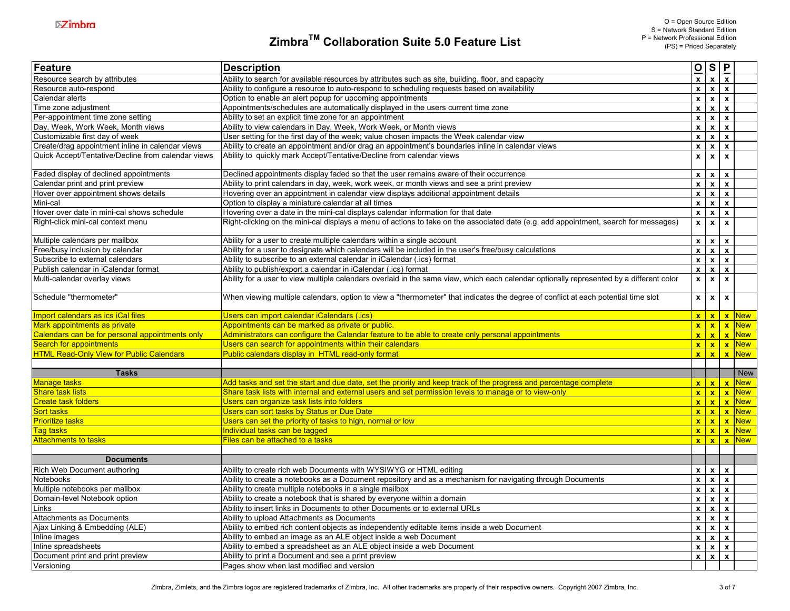| Feature                                            | <b>Description</b>                                                                                                                       | O S P                     |                           |                           |              |
|----------------------------------------------------|------------------------------------------------------------------------------------------------------------------------------------------|---------------------------|---------------------------|---------------------------|--------------|
| Resource search by attributes                      | Ability to search for available resources by attributes such as site, building, floor, and capacity                                      | $\overline{\mathbf{x}}$   |                           | $x \mid x$                |              |
| Resource auto-respond                              | Ability to configure a resource to auto-respond to scheduling requests based on availability                                             | $\mathbf{x}$              |                           | $x \mid x$                |              |
| Calendar alerts                                    | Option to enable an alert popup for upcoming appointments                                                                                | $\mathbf{x}$              | $\mathbf{x}$              | $\pmb{\chi}$              |              |
| Time zone adjustment                               | Appointments/schedules are automatically displayed in the users current time zone                                                        | $\boldsymbol{\mathsf{x}}$ | $\pmb{\chi}$              | $\mathbf{x}$              |              |
| Per-appointment time zone setting                  | Ability to set an explicit time zone for an appointment                                                                                  | $\mathbf{x}$              | $\mathbf{x}$              | $\mathbf{x}$              |              |
| Day, Week, Work Week, Month views                  | Ability to view calendars in Day, Week, Work Week, or Month views                                                                        | $\mathbf{x}$              | $\mathbf{x}$              | $\mathbf{x}$              |              |
| Customizable first day of week                     | User setting for the first day of the week; value chosen impacts the Week calendar view                                                  | $\mathbf{x}$              | $\mathbf{x}$              | $\mathbf{x}$              |              |
| Create/drag appointment inline in calendar views   | Ability to create an appointment and/or drag an appointment's boundaries inline in calendar views                                        | $\pmb{\mathsf{x}}$        | $\pmb{\mathsf{x}}$        | $\pmb{\mathsf{x}}$        |              |
| Quick Accept/Tentative/Decline from calendar views | Ability to quickly mark Accept/Tentative/Decline from calendar views                                                                     | $\pmb{\mathsf{x}}$        | $\boldsymbol{\mathsf{x}}$ | $\boldsymbol{\mathsf{x}}$ |              |
| Faded display of declined appointments             | Declined appointments display faded so that the user remains aware of their occurrence                                                   | $\mathbf{x}$              | $\mathbf{x}$              | $\boldsymbol{\mathsf{x}}$ |              |
| Calendar print and print preview                   | Ability to print calendars in day, week, work week, or month views and see a print preview                                               | $\pmb{\mathsf{x}}$        | $\pmb{\mathsf{x}}$        | $\boldsymbol{\mathsf{x}}$ |              |
| Hover over appointment shows details               | Hovering over an appointment in calendar view displays additional appointment details                                                    | $\mathbf{x}$              |                           | $x \mid x$                |              |
| Mini-cal                                           | Option to display a miniature calendar at all times                                                                                      | $\mathbf{x}$              | $\pmb{\chi}$              | $\boldsymbol{\mathsf{x}}$ |              |
| Hover over date in mini-cal shows schedule         | Hovering over a date in the mini-cal displays calendar information for that date                                                         | $\mathbf{x}$              | $\mathbf{x}$              | $\mathbf{x}$              |              |
| Right-click mini-cal context menu                  | Right-clicking on the mini-cal displays a menu of actions to take on the associated date (e.g. add appointment, search for messages)     | $\mathbf{x}$              | $\mathbf{x}$              | $\mathbf{x}$              |              |
| Multiple calendars per mailbox                     | Ability for a user to create multiple calendars within a single account                                                                  | $\mathbf{x}$              | $\mathbf{x}$              | $\boldsymbol{\mathsf{x}}$ |              |
| Free/busy inclusion by calendar                    | Ability for a user to designate which calendars will be included in the user's free/busy calculations                                    | $\mathbf{x}$              | $\mathbf{x}$              | $\boldsymbol{\mathsf{x}}$ |              |
| Subscribe to external calendars                    | Ability to subscribe to an external calendar in iCalendar (.ics) format                                                                  | $\mathbf{x}$              | $\mathbf{x}$              | $\mathbf{x}$              |              |
| Publish calendar in iCalendar format               | Ability to publish/export a calendar in iCalendar (.ics) format                                                                          | $\mathbf{x}$              | $\mathbf{x}$              | $\mathbf{x}$              |              |
| Multi-calendar overlay views                       | Ability for a user to view multiple calendars overlaid in the same view, which each calendar optionally represented by a different color | $\pmb{\mathsf{x}}$        | $\pmb{\mathsf{x}}$        | $\pmb{\chi}$              |              |
| Schedule "thermometer"                             | When viewing multiple calendars, option to view a "thermometer" that indicates the degree of conflict at each potential time slot        | $\mathbf{x}$              | $\pmb{\chi}$              | $\pmb{\mathsf{x}}$        |              |
| Import calendars as ics iCal files                 | Users can import calendar iCalendars (.ics)                                                                                              | $\mathbf{x}$              |                           |                           | $x \, x$ New |
| Mark appointments as private                       | Appointments can be marked as private or public.                                                                                         | $\mathbf{x}$              | $\mathbf{x}$              | $\mathbf{x}$              | <b>New</b>   |
| Calendars can be for personal appointments only    | Administrators can configure the Calendar feature to be able to create only personal appointments                                        | $\mathbf{x}$              | $\mathbf{x}$              | $\mathbf{x}$              | New          |
| Search for appointments                            | Users can search for appointments within their calendars                                                                                 | $\mathbf{x}$              | $\mathbf{x}$              | $\mathbf{x}$              | <b>New</b>   |
| <b>HTML Read-Only View for Public Calendars</b>    | Public calendars display in HTML read-only format                                                                                        | $\mathbf{x}$              | $\mathbf{x}$              | $\mathbf{x}$              | <b>New</b>   |
| <b>Tasks</b>                                       |                                                                                                                                          |                           |                           |                           | <b>New</b>   |
| <b>Manage tasks</b>                                | Add tasks and set the start and due date, set the priority and keep track of the progress and percentage complete                        | $\mathbf{x}$              | $\mathbf{x}$              | $\mathbf{x}$              | <b>New</b>   |
| <b>Share task lists</b>                            | Share task lists with internal and external users and set permission levels to manage or to view-only                                    |                           |                           | x x x                     | <b>New</b>   |
| <b>Create task folders</b>                         | Users can organize task lists into folders                                                                                               | $\mathbf{x}$              | $\mathbf{x}$              | $\mathbf{x}$              | <b>New</b>   |
| <b>Sort tasks</b>                                  | Users can sort tasks by Status or Due Date                                                                                               | $\mathbf{x}$              | $\mathbf{x}$              | $\mathbf{x}$              | <b>New</b>   |
| <b>Prioritize tasks</b>                            | Users can set the priority of tasks to high, normal or low                                                                               |                           | x   x                     | $\mathbf{x}$              | <b>New</b>   |
| <b>Tag tasks</b>                                   | Individual tasks can be tagged                                                                                                           |                           | x   x                     | $\mathbf{x}$              | <b>New</b>   |
| <b>Attachments to tasks</b>                        | Files can be attached to a tasks                                                                                                         |                           | x   x                     | $\mathbf{x}$              | <b>New</b>   |
| <b>Documents</b>                                   |                                                                                                                                          |                           |                           |                           |              |
| Rich Web Document authoring                        | Ability to create rich web Documents with WYSIWYG or HTML editing                                                                        | $\mathbf{x}$              | $\mathbf{x}$              | $\boldsymbol{\mathsf{x}}$ |              |
| Notebooks                                          | Ability to create a notebooks as a Document repository and as a mechanism for navigating through Documents                               | $\mathbf{x}$              |                           | $x \mid x$                |              |
| Multiple notebooks per mailbox                     | Ability to create multiple notebooks in a single mailbox                                                                                 | $\overline{\mathbf{x}}$   | $\overline{\mathbf{x}}$   | $\boldsymbol{x}$          |              |
| Domain-level Notebook option                       | Ability to create a notebook that is shared by everyone within a domain                                                                  | $\mathbf{x}$              | $\mathbf{x}$              | $\boldsymbol{\mathsf{x}}$ |              |
| Links                                              | Ability to insert links in Documents to other Documents or to external URLs                                                              | $\mathbf{x}$              | $\mathbf{x}$              | $\boldsymbol{\mathsf{x}}$ |              |
| Attachments as Documents                           | Ability to upload Attachments as Documents                                                                                               | $\mathbf{x}$              | $\mathbf{x}$              | $\boldsymbol{\mathsf{x}}$ |              |
| Ajax Linking & Embedding (ALE)                     | Ability to embed rich content objects as independently editable items inside a web Document                                              | $\mathbf{x}$              | $\mathbf{x}$              | $\mathbf{x}$              |              |
| Inline images                                      | Ability to embed an image as an ALE object inside a web Document                                                                         | $\mathbf{x}$              | $\mathbf{x}$              | $\boldsymbol{\mathsf{x}}$ |              |
| Inline spreadsheets                                | Ability to embed a spreadsheet as an ALE object inside a web Document                                                                    | $\mathbf{x}$              | $\mathbf{x}$              | $\boldsymbol{\mathsf{x}}$ |              |
| Document print and print preview                   | Ability to print a Document and see a print preview                                                                                      | $\mathbf{x}$              | $\boldsymbol{\mathsf{x}}$ | $\mathbf{x}$              |              |
| Versioning                                         | Pages show when last modified and version                                                                                                |                           |                           |                           |              |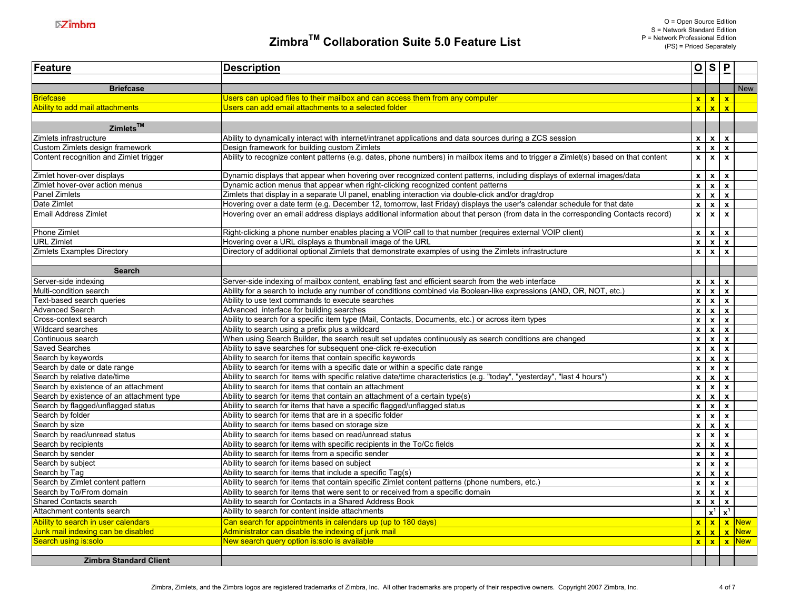| <b>Feature</b>                                            | <b>Description</b>                                                                                                                          |                              |                         | $O$ $S$ $P$                   |                   |
|-----------------------------------------------------------|---------------------------------------------------------------------------------------------------------------------------------------------|------------------------------|-------------------------|-------------------------------|-------------------|
| <b>Briefcase</b>                                          |                                                                                                                                             |                              |                         |                               | <b>New</b>        |
| <b>Briefcase</b>                                          | Users can upload files to their mailbox and can access them from any computer                                                               |                              |                         | x x x                         |                   |
| Ability to add mail attachments                           | Users can add email attachments to a selected folder                                                                                        |                              |                         | x x x                         |                   |
|                                                           |                                                                                                                                             |                              |                         |                               |                   |
| $Z$ imlets <sup>TM</sup>                                  |                                                                                                                                             |                              |                         |                               |                   |
| Zimlets infrastructure                                    | Ability to dynamically interact with internet/intranet applications and data sources during a ZCS session                                   |                              |                         | $x \mid x \mid x$             |                   |
| Custom Zimlets design framework                           | Design framework for building custom Zimlets                                                                                                |                              |                         | $x \mid x \mid x$             |                   |
| Content recognition and Zimlet trigger                    | Ability to recognize content patterns (e.g. dates, phone numbers) in mailbox items and to trigger a Zimlet(s) based on that content         |                              |                         | $x \mid x \mid x$             |                   |
| Zimlet hover-over displays                                | Dynamic displays that appear when hovering over recognized content patterns, including displays of external images/data                     |                              |                         | $x \mid x \mid x$             |                   |
| Zimlet hover-over action menus                            | Dynamic action menus that appear when right-clicking recognized content patterns                                                            | $\overline{\mathbf{x}}$      |                         | x x                           |                   |
| Panel Zimlets                                             | Zimlets that display in a separate UI panel, enabling interaction via double-click and/or drag/drop                                         | $\mathbf{x}$                 | $\mathbf{x}$            | $\mathbf{x}$                  |                   |
| Date Zimlet                                               | Hovering over a date term (e.g. December 12, tomorrow, last Friday) displays the user's calendar schedule for that date                     | $\mathbf{x}$                 | $\mathbf{x}$            | $\mathbf{x}$                  |                   |
| Email Address Zimlet                                      | Hovering over an email address displays additional information about that person (from data in the corresponding Contacts record)           | $\mathbf{x}$                 | $\mathbf{x}$            | $\mathbf{x}$                  |                   |
| Phone Zimlet                                              | Right-clicking a phone number enables placing a VOIP call to that number (requires external VOIP client)                                    | $\mathbf{x}$                 |                         | $x \mid x$                    |                   |
| <b>URL Zimlet</b>                                         | Hovering over a URL displays a thumbnail image of the URL                                                                                   | $\mathbf{x}$                 | $\mathbf{x}$            | $\mathbf{x}$                  |                   |
| Zimlets Examples Directory                                | Directory of additional optional Zimlets that demonstrate examples of using the Zimlets infrastructure                                      | $\overline{\mathbf{x}}$      | $\mathbf{x}$            | $\mathbf{x}$                  |                   |
|                                                           |                                                                                                                                             |                              |                         |                               |                   |
| <b>Search</b>                                             |                                                                                                                                             |                              |                         |                               |                   |
| Server-side indexing                                      | Server-side indexing of mailbox content, enabling fast and efficient search from the web interface                                          |                              |                         | $x \mid x \mid x$             |                   |
| Multi-condition search                                    | Ability for a search to include any number of conditions combined via Boolean-like expressions (AND, OR, NOT, etc.)                         |                              |                         | $x \mid x \mid x$             |                   |
| Text-based search queries                                 | Ability to use text commands to execute searches                                                                                            | $\overline{\mathbf{x}}$      |                         | $x \mid x$                    |                   |
| <b>Advanced Search</b>                                    | Advanced interface for building searches                                                                                                    | $\mathbf{x}$                 | $\mathbf{x}$            | $\mathbf{x}$                  |                   |
| Cross-context search                                      | Ability to search for a specific item type (Mail, Contacts, Documents, etc.) or across item types                                           | $\mathbf{x}$                 | $\mathbf{x}$            | $\mathbf{x}$                  |                   |
| Wildcard searches                                         | Ability to search using a prefix plus a wildcard                                                                                            | $\mathbf{x}$                 | $\mathbf{x}$            | $\mathbf{x}$                  |                   |
| Continuous search                                         | When using Search Builder, the search result set updates continuously as search conditions are changed                                      |                              |                         | $x \mid x \mid x$             |                   |
| <b>Saved Searches</b>                                     | Ability to save searches for subsequent one-click re-execution                                                                              | $\mathbf{x}$                 |                         | $x \mid x$                    |                   |
| Search by keywords                                        | Ability to search for items that contain specific keywords                                                                                  | $\mathbf{x}$                 | $\mathbf{x}$            | $\mathbf{x}$                  |                   |
| Search by date or date range                              | Ability to search for items with a specific date or within a specific date range                                                            | $\mathbf{x}$                 |                         | $x \mid x$                    |                   |
| Search by relative date/time                              | Ability to search for items with specific relative date/time characteristics (e.g. "today", "yesterday", "last 4 hours")                    | $\mathbf{x}$                 | $\mathbf{x}$            | $\mathbf{x}$                  |                   |
| Search by existence of an attachment                      | Ability to search for items that contain an attachment                                                                                      | $\mathbf{x}$                 |                         | $x \mid x$                    |                   |
| Search by existence of an attachment type                 | Ability to search for items that contain an attachment of a certain type(s)                                                                 |                              |                         | $x \mid x \mid x$             |                   |
| Search by flagged/unflagged status                        | Ability to search for items that have a specific flagged/unflagged status                                                                   | $\mathbf{x}$                 | $\mathbf{x}$            | $\mathbf{x}$                  |                   |
| Search by folder                                          | Ability to search for items that are in a specific folder                                                                                   | $\mathbf{x}$                 | $\mathbf{x}$            | $\mathbf{x}$                  |                   |
| Search by size                                            | Ability to search for items based on storage size                                                                                           | $\mathbf{x}$                 | $\mathbf{x}$            | $\mathbf{x}$                  |                   |
| Search by read/unread status                              | Ability to search for items based on read/unread status                                                                                     | $\mathbf{x}$                 |                         | $x \mid x$                    |                   |
| Search by recipients                                      | Ability to search for items with specific recipients in the To/Cc fields                                                                    | $\mathbf{x}$                 |                         | $x \mid x$                    |                   |
| Search by sender                                          | Ability to search for items from a specific sender                                                                                          | $\mathbf{x}$                 |                         | $x \mid x$                    |                   |
| Search by subject                                         | Ability to search for items based on subject                                                                                                | $\overline{\mathbf{x}}$      | $\overline{\mathbf{x}}$ | $\mathbf{x}$                  |                   |
| Search by Tag                                             | Ability to search for items that include a specific Tag(s)                                                                                  | $\mathbf{x}$                 | $\mathbf{x}$            | $\mathbf{x}$                  |                   |
| Search by Zimlet content pattern                          | Ability to search for items that contain specific Zimlet content patterns (phone numbers, etc.)                                             | $\mathbf{x}$                 |                         | $x \mid x$                    |                   |
| Search by To/From domain<br><b>Shared Contacts search</b> | Ability to search for items that were sent to or received from a specific domain<br>Ability to search for Contacts in a Shared Address Book | $\mathbf{x}$<br>$\mathbf{x}$ | $\mathbf{x}$            | $\mathbf{x}$<br>$x \mid x$    |                   |
| Attachment contents search                                | Ability to search for content inside attachments                                                                                            |                              |                         | $\mathbf{x}^1$ $\mathbf{x}^1$ |                   |
| Ability to search in user calendars                       | Can search for appointments in calendars up (up to 180 days)                                                                                |                              |                         |                               | $x x x$ x New     |
| Junk mail indexing can be disabled                        | Administrator can disable the indexing of junk mail                                                                                         |                              |                         |                               | $x x x$ x New     |
| Search using is:solo                                      | New search query option is:solo is available                                                                                                |                              |                         |                               | $x   x   x  $ New |
|                                                           |                                                                                                                                             |                              |                         |                               |                   |
| <b>Zimbra Standard Client</b>                             |                                                                                                                                             |                              |                         |                               |                   |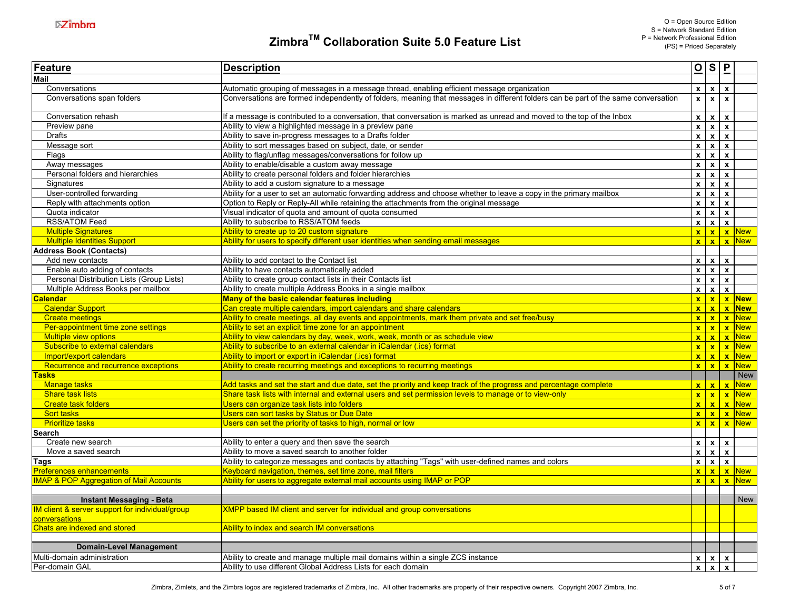| Feature                                           | <b>Description</b>                                                                                                                 |                           |                         | O S P                     |                   |
|---------------------------------------------------|------------------------------------------------------------------------------------------------------------------------------------|---------------------------|-------------------------|---------------------------|-------------------|
| <b>Mail</b>                                       |                                                                                                                                    |                           |                         |                           |                   |
| Conversations                                     | Automatic grouping of messages in a message thread, enabling efficient message organization                                        | $\mathbf{x}$              | $\mathbf{x}$            | $\mathbf{x}$              |                   |
| Conversations span folders                        | Conversations are formed independently of folders, meaning that messages in different folders can be part of the same conversation | $\mathbf{x}$              | $\overline{\mathbf{x}}$ | $\mathbf{x}$              |                   |
| Conversation rehash                               | If a message is contributed to a conversation, that conversation is marked as unread and moved to the top of the Inbox             | $\boldsymbol{\mathsf{x}}$ |                         | $x \mid x$                |                   |
| Preview pane                                      | Ability to view a highlighted message in a preview pane                                                                            | $\mathbf{x}$              | $\mathbf{x}$            | $\mathbf{x}$              |                   |
| Drafts                                            | Ability to save in-progress messages to a Drafts folder                                                                            | $\overline{\mathbf{x}}$   | $\mathbf{x}$            | $\mathbf{x}$              |                   |
| Message sort                                      | Ability to sort messages based on subject, date, or sender                                                                         | $\mathbf{x}$              | $\mathbf{x}$            | $\mathbf{x}$              |                   |
| Flags                                             | Ability to flag/unflag messages/conversations for follow up                                                                        | $\mathbf{x}$              | $\mathbf{x}$            | $\mathbf{x}$              |                   |
| Away messages                                     | Ability to enable/disable a custom away message                                                                                    | $\mathbf{x}$              | $\mathbf{x}$            | $\mathbf{x}$              |                   |
| Personal folders and hierarchies                  | Ability to create personal folders and folder hierarchies                                                                          | $\pmb{\mathsf{x}}$        | $\pmb{\mathsf{x}}$      | $\mathbf{x}$              |                   |
| Signatures                                        | Ability to add a custom signature to a message                                                                                     | $\overline{\mathbf{x}}$   | $\mathbf{x}$            | $\mathbf{x}$              |                   |
| User-controlled forwarding                        | Ability for a user to set an automatic forwarding address and choose whether to leave a copy in the primary mailbox                | $\mathbf{x}$              | $\mathbf{x}$            | $\mathbf{x}$              |                   |
| Reply with attachments option                     | Option to Reply or Reply-All while retaining the attachments from the original message                                             | $\mathbf{x}$              | $\mathbf{x}$            | $\mathbf{x}$              |                   |
| Quota indicator                                   | Visual indicator of quota and amount of quota consumed                                                                             | $\mathbf{x}$              |                         | $x \mid x$                |                   |
| <b>RSS/ATOM Feed</b>                              | Ability to subscribe to RSS/ATOM feeds                                                                                             | $\mathbf{x}$              | $\mathbf{x}$            | $\mathbf{x}$              |                   |
| <b>Multiple Signatures</b>                        | Ability to create up to 20 custom signature                                                                                        |                           |                         |                           | $x   x   x  $ New |
| <b>Multiple Identities Support</b>                | Ability for users to specify different user identities when sending email messages                                                 |                           |                         |                           | $x x x$ x New     |
| <b>Address Book (Contacts)</b>                    |                                                                                                                                    |                           |                         |                           |                   |
| Add new contacts                                  | Ability to add contact to the Contact list                                                                                         |                           |                         | $x \mid x \mid x$         |                   |
| Enable auto adding of contacts                    | Ability to have contacts automatically added                                                                                       | $\mathbf{x}$              | $\mathbf{x}$            | $\mathbf{x}$              |                   |
| Personal Distribution Lists (Group Lists)         | Ability to create group contact lists in their Contacts list                                                                       | $\pmb{\mathsf{x}}$        | $\boldsymbol{x}$        | $\boldsymbol{\mathsf{x}}$ |                   |
| Multiple Address Books per mailbox                | Ability to create multiple Address Books in a single mailbox                                                                       | $\mathbf{x}$              | $\mathbf{x}$            | $\mathbf{x}$              |                   |
| alendar                                           | Many of the basic calendar features including                                                                                      |                           |                         |                           | x x x New         |
| <b>Calendar Support</b>                           | Can create multiple calendars, import calendars and share calendars                                                                |                           |                         |                           | x x x             |
| <b>Create meetings</b>                            | Ability to create meetings, all day events and appointments, mark them private and set free/busy                                   |                           |                         |                           | $x   x   x$ New   |
| Per-appointment time zone settings                | Ability to set an explicit time zone for an appointment                                                                            |                           |                         |                           | $x   x   x$ New   |
| Multiple view options                             | Ability to view calendars by day, week, work, week, month or as schedule view                                                      |                           |                         |                           | x x x             |
| Subscribe to external calendars                   | Ability to subscribe to an external calendar in iCalendar (.ics) format                                                            |                           |                         |                           | $x   x   x$ New   |
| Import/export calendars                           | Ability to import or export in iCalendar (.ics) format                                                                             |                           |                         |                           | x x x             |
| Recurrence and recurrence exceptions              | Ability to create recurring meetings and exceptions to recurring meetings                                                          |                           |                         |                           | $x   x   x$ New   |
| asks                                              |                                                                                                                                    |                           |                         |                           | <b>New</b>        |
| <b>Manage tasks</b>                               | Add tasks and set the start and due date, set the priority and keep track of the progress and percentage complete                  |                           |                         |                           | x x x             |
| <b>Share task lists</b>                           | Share task lists with internal and external users and set permission levels to manage or to view-only                              |                           |                         |                           | $x   x   x$ New   |
| <b>Create task folders</b>                        | Users can organize task lists into folders                                                                                         |                           |                         |                           | $x   x   x$ New   |
| Sort tasks                                        | Users can sort tasks by Status or Due Date                                                                                         |                           |                         |                           | $x   x   x  $ New |
| <b>Prioritize tasks</b>                           | Users can set the priority of tasks to high, normal or low                                                                         |                           |                         |                           | $x   x   x  $ New |
| Search                                            |                                                                                                                                    |                           |                         |                           |                   |
| Create new search                                 | Ability to enter a query and then save the search                                                                                  | $\mathbf{x}$              | $\mathbf{x}$            | $\mathbf{x}$              |                   |
| Move a saved search                               | Ability to move a saved search to another folder                                                                                   | $\mathbf{x}$              |                         | $x \mid x$                |                   |
| Tags                                              | Ability to categorize messages and contacts by attaching "Tags" with user-defined names and colors                                 |                           |                         | $x \mid x \mid x$         |                   |
| <b>Preferences enhancements</b>                   | Keyboard navigation, themes, set time zone, mail filters                                                                           |                           |                         |                           | x x x             |
| <b>MAP &amp; POP Aggregation of Mail Accounts</b> | Ability for users to aggregate external mail accounts using IMAP or POP                                                            |                           |                         |                           | x x x             |
| <b>Instant Messaging - Beta</b>                   |                                                                                                                                    |                           |                         |                           | <b>New</b>        |
| IM client & server support for individual/group   | <b>XMPP based IM client and server for individual and group conversations</b>                                                      |                           |                         |                           |                   |
| conversations<br>Chats are indexed and stored     | Ability to index and search IM conversations                                                                                       |                           |                         |                           |                   |
|                                                   |                                                                                                                                    |                           |                         |                           |                   |
| <b>Domain-Level Management</b>                    |                                                                                                                                    |                           |                         |                           |                   |
| Multi-domain administration                       | Ability to create and manage multiple mail domains within a single ZCS instance                                                    | $\mathbf{x}$              | $\mathbf{x}$            | $\pmb{\chi}$              |                   |
| Per-domain GAL                                    | Ability to use different Global Address Lists for each domain                                                                      | $\mathbf{x}$              | $\mathbf{x}$            | $\mathbf{x}$              |                   |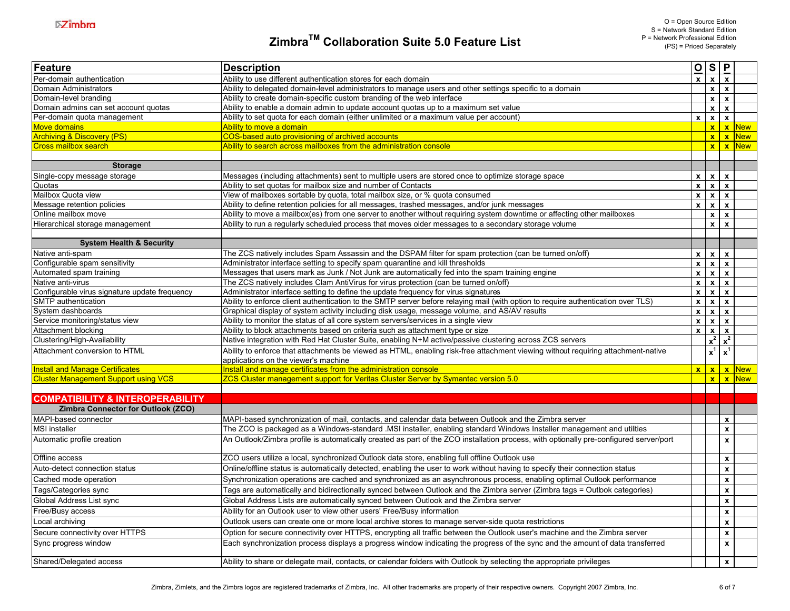| Feature                                       | <b>Description</b>                                                                                                                     |              |              | $Q$ $S$ $P$                   |                        |
|-----------------------------------------------|----------------------------------------------------------------------------------------------------------------------------------------|--------------|--------------|-------------------------------|------------------------|
| Per-domain authentication                     | Ability to use different authentication stores for each domain                                                                         | $\mathbf{x}$ |              | $x \mid x$                    |                        |
| Domain Administrators                         | Ability to delegated domain-level administrators to manage users and other settings specific to a domain                               |              |              | $x \mid x$                    |                        |
| Domain-level branding                         | Ability to create domain-specific custom branding of the web interface                                                                 |              |              | $x \mid x$                    |                        |
| Domain admins can set account quotas          | Ability to enable a domain admin to update account quotas up to a maximum set value                                                    |              |              | $x \mid x$                    |                        |
| Per-domain quota management                   | Ability to set quota for each domain (either unlimited or a maximum value per account)                                                 | $\mathbf{x}$ |              | $x \mid x$                    |                        |
| <b>Move domains</b>                           | Ability to move a domain                                                                                                               |              |              |                               | $x \mid x$ New         |
| <b>Archiving &amp; Discovery (PS)</b>         | COS-based auto provisioning of archived accounts                                                                                       |              |              |                               | $x \,   \, x \,  $ New |
| <b>Cross mailbox search</b>                   | Ability to search across mailboxes from the administration console                                                                     |              |              |                               | $x \mid x \mid$ New    |
| <b>Storage</b>                                |                                                                                                                                        |              |              |                               |                        |
|                                               |                                                                                                                                        |              |              |                               |                        |
| Single-copy message storage                   | Messages (including attachments) sent to multiple users are stored once to optimize storage space                                      | $\mathbf{x}$ |              | $x \mid x$                    |                        |
| Quotas                                        | Ability to set quotas for mailbox size and number of Contacts                                                                          | $\mathbf{x}$ | $x \mid x$   |                               |                        |
| Mailbox Quota view                            | View of mailboxes sortable by quota, total mailbox size, or % quota consumed                                                           | $\mathbf{x}$ |              | $x \mid x$                    |                        |
| Message retention policies                    | Ability to define retention policies for all messages, trashed messages, and/or junk messages                                          |              |              | $x \mid x \mid x$             |                        |
| Online mailbox move                           | Ability to move a mailbox(es) from one server to another without requiring system downtime or affecting other mailboxes                |              |              | $x \mid x$                    |                        |
| Hierarchical storage management               | Ability to run a regularly scheduled process that moves older messages to a secondary storage vdume                                    |              | $\mathbf{x}$ | $\mathbf{x}$                  |                        |
| <b>System Health &amp; Security</b>           |                                                                                                                                        |              |              |                               |                        |
| Native anti-spam                              | The ZCS natively includes Spam Assassin and the DSPAM filter for spam protection (can be turned on/off)                                | $\mathbf{x}$ |              | $x \mid x$                    |                        |
| Configurable spam sensitivity                 | Administrator interface setting to specify spam quarantine and kill thresholds                                                         | $\mathbf{x}$ | $x \mid x$   |                               |                        |
| Automated spam training                       | Messages that users mark as Junk / Not Junk are automatically fed into the spam training engine                                        | $\mathbf{x}$ |              | $x \mid x$                    |                        |
| Native anti-virus                             | The ZCS natively includes Clam AntiVirus for virus protection (can be turned on/off)                                                   | $\mathbf{x}$ |              | $x \mid x$                    |                        |
| Configurable virus signature update frequency | Administrator interface setting to define the update frequency for virus signatures                                                    | $\mathbf{x}$ |              | $x \mid x$                    |                        |
| SMTP authentication                           | Ability to enforce client authentication to the SMTP server before relaying mail (with option to require authentication over TLS)      | $\mathbf{x}$ |              | $x \mid x$                    |                        |
| System dashboards                             | Graphical display of system activity including disk usage, message volume, and AS/AV results                                           | $\mathbf{x}$ |              | $x \mid x$                    |                        |
| Service monitoring/status view                | Ability to monitor the status of all core system servers/services in a single view                                                     | $\mathbf{x}$ |              | $x \mid x$                    |                        |
| Attachment blocking                           | Ability to block attachments based on criteria such as attachment type or size                                                         | $\mathbf{x}$ | $\mathbf{x}$ | $\mathbf{x}$                  |                        |
| Clustering/High-Availability                  | Native integration with Red Hat Cluster Suite, enabling N+M active/passive clustering across ZCS servers                               |              |              | $\mathbf{x}^2$ $\mathbf{x}^2$ |                        |
| Attachment conversion to HTML                 | Ability to enforce that attachments be viewed as HTML, enabling risk-free attachment viewing without requiring attachment-native       |              |              | $x^1$ $x^1$                   |                        |
|                                               | applications on the viewer's machine                                                                                                   |              |              |                               |                        |
| <b>Install and Manage Certificates</b>        | Install and manage certificates from the administration console                                                                        | $\mathbf{x}$ |              |                               | $x \mid x \mid$ New    |
| <b>Cluster Management Support using VCS</b>   | ZCS Cluster management support for Veritas Cluster Server by Symantec version 5.0                                                      |              |              |                               | $x \,   \, x \,  $ New |
| <b>COMPATIBILITY &amp; INTEROPERABILITY</b>   |                                                                                                                                        |              |              |                               |                        |
| Zimbra Connector for Outlook (ZCO)            |                                                                                                                                        |              |              |                               |                        |
| MAPI-based connector                          | MAPI-based synchronization of mail, contacts, and calendar data between Outlook and the Zimbra server                                  |              |              | $\mathbf{x}$                  |                        |
| <b>MSI</b> installer                          | The ZCO is packaged as a Windows-standard .MSI installer, enabling standard Windows Installer management and utilities                 |              |              | $\pmb{\mathsf{x}}$            |                        |
| Automatic profile creation                    | An Outlook/Zimbra profile is automatically created as part of the ZCO installation process, with optionally pre-configured server/port |              |              | $\boldsymbol{\mathsf{x}}$     |                        |
| Offline access                                | ZCO users utilize a local, synchronized Outlook data store, enabling full offline Outlook use                                          |              |              | $\pmb{\mathsf{x}}$            |                        |
| Auto-detect connection status                 | Online/offline status is automatically detected, enabling the user to work without having to specify their connection status           |              |              | $\boldsymbol{\mathsf{x}}$     |                        |
| Cached mode operation                         | Synchronization operations are cached and synchronized as an asynchronous process, enabling optimal Outlook performance                |              |              | $\pmb{\mathsf{x}}$            |                        |
| Tags/Categories sync                          | Tags are automatically and bidirectionally synced between Outlook and the Zimbra server (Zimbra tags = Outbok categories)              |              |              | $\boldsymbol{\mathsf{x}}$     |                        |
| Global Address List sync                      |                                                                                                                                        |              |              |                               |                        |
|                                               | Global Address Lists are automatically synced between Outlook and the Zimbra server                                                    |              |              | $\boldsymbol{\mathsf{x}}$     |                        |
| Free/Busy access                              | Ability for an Outlook user to view other users' Free/Busy information                                                                 |              |              | $\boldsymbol{\mathsf{x}}$     |                        |
| Local archiving                               | Outlook users can create one or more local archive stores to manage server-side quota restrictions                                     |              |              | $\pmb{\mathsf{x}}$            |                        |
| Secure connectivity over HTTPS                | Option for secure connectivity over HTTPS, encrypting all traffic between the Outlook user's machine and the Zimbra server             |              |              | $\mathbf x$                   |                        |
| Sync progress window                          | Each synchronization process displays a progress window indicating the progress of the sync and the amount of data transferred         |              |              | $\boldsymbol{\mathsf{x}}$     |                        |
| Shared/Delegated access                       | Ability to share or delegate mail, contacts, or calendar folders with Outlook by selecting the appropriate privileges                  |              |              | $\pmb{\mathsf{x}}$            |                        |